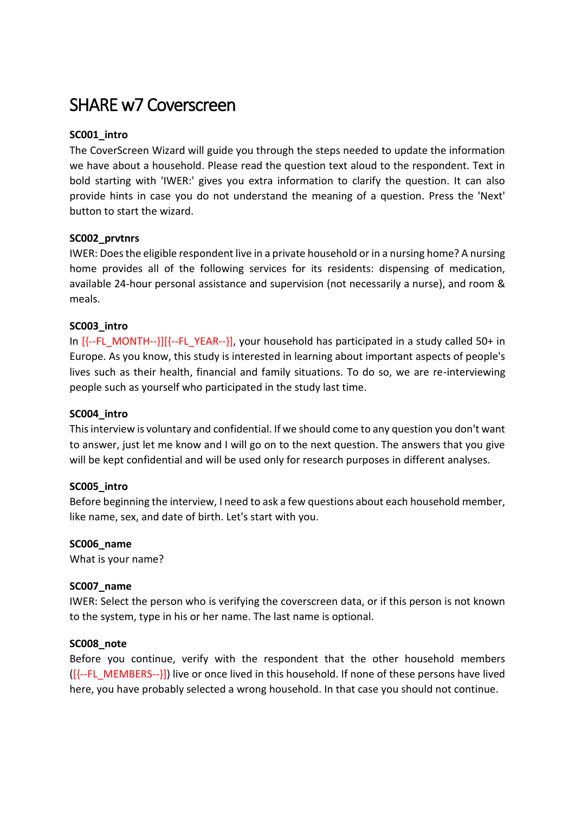# SHARE w7 Coverscreen

# **SC001\_intro**

The CoverScreen Wizard will guide you through the steps needed to update the information we have about a household. Please read the question text aloud to the respondent. Text in bold starting with 'IWER:' gives you extra information to clarify the question. It can also provide hints in case you do not understand the meaning of a question. Press the 'Next' button to start the wizard.

# **SC002\_prvtnrs**

IWER: Does the eligible respondent live in a private household or in a nursing home? A nursing home provides all of the following services for its residents: dispensing of medication, available 24-hour personal assistance and supervision (not necessarily a nurse), and room & meals.

# **SC003\_intro**

In  $\left[\{-FLMONTH-\}\right]\left[\{-FLYEAR-\}\right]$ , your household has participated in a study called 50+ in Europe. As you know, this study is interested in learning about important aspects of people's lives such as their health, financial and family situations. To do so, we are re-interviewing people such as yourself who participated in the study last time.

# **SC004\_intro**

This interview is voluntary and confidential. If we should come to any question you don't want to answer, just let me know and I will go on to the next question. The answers that you give will be kept confidential and will be used only for research purposes in different analyses.

# **SC005\_intro**

Before beginning the interview, I need to ask a few questions about each household member, like name, sex, and date of birth. Let's start with you.

# **SC006\_name**

What is your name?

# **SC007\_name**

IWER: Select the person who is verifying the coverscreen data, or if this person is not known to the system, type in his or her name. The last name is optional.

# **SC008\_note**

Before you continue, verify with the respondent that the other household members ([{--FL\_MEMBERS--}]) live or once lived in this household. If none of these persons have lived here, you have probably selected a wrong household. In that case you should not continue.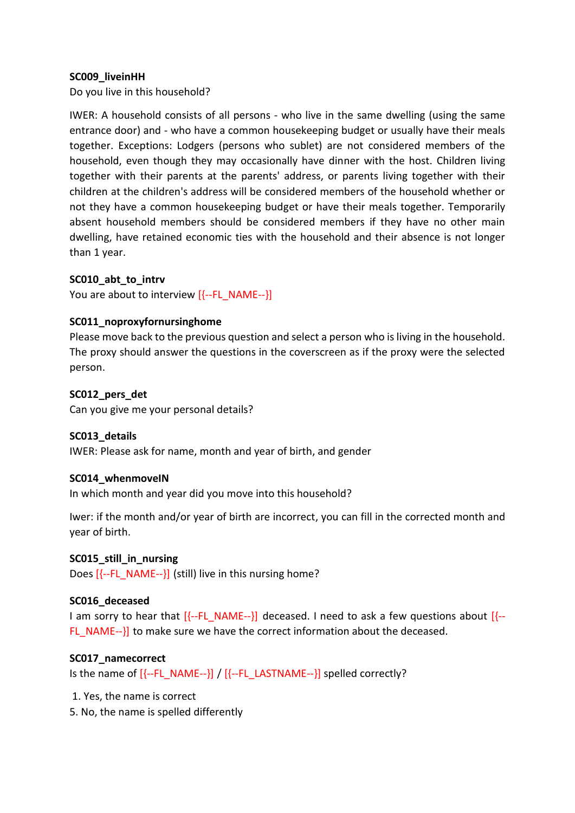# **SC009\_liveinHH**

Do you live in this household?

IWER: A household consists of all persons - who live in the same dwelling (using the same entrance door) and - who have a common housekeeping budget or usually have their meals together. Exceptions: Lodgers (persons who sublet) are not considered members of the household, even though they may occasionally have dinner with the host. Children living together with their parents at the parents' address, or parents living together with their children at the children's address will be considered members of the household whether or not they have a common housekeeping budget or have their meals together. Temporarily absent household members should be considered members if they have no other main dwelling, have retained economic ties with the household and their absence is not longer than 1 year.

# **SC010\_abt\_to\_intrv**

You are about to interview  $[{-FL} NAME-}]$ 

# **SC011\_noproxyfornursinghome**

Please move back to the previous question and select a person who is living in the household. The proxy should answer the questions in the coverscreen as if the proxy were the selected person.

# **SC012\_pers\_det**

Can you give me your personal details?

# **SC013\_details**

IWER: Please ask for name, month and year of birth, and gender

# **SC014\_whenmoveIN**

In which month and year did you move into this household?

Iwer: if the month and/or year of birth are incorrect, you can fill in the corrected month and year of birth.

# **SC015\_still\_in\_nursing**

Does  $[$  -FL\_NAME-- $]$  (still) live in this nursing home?

# **SC016\_deceased**

I am sorry to hear that  $[{-FL_NAME-}]\$  deceased. I need to ask a few questions about  $[{-}$ FL\_NAME-- $\}$  to make sure we have the correct information about the deceased.

# **SC017\_namecorrect**

Is the name of  $[{-FL_{NAME-}}] / [{-FL_{LAME-}}]$  spelled correctly?

- 1. Yes, the name is correct
- 5. No, the name is spelled differently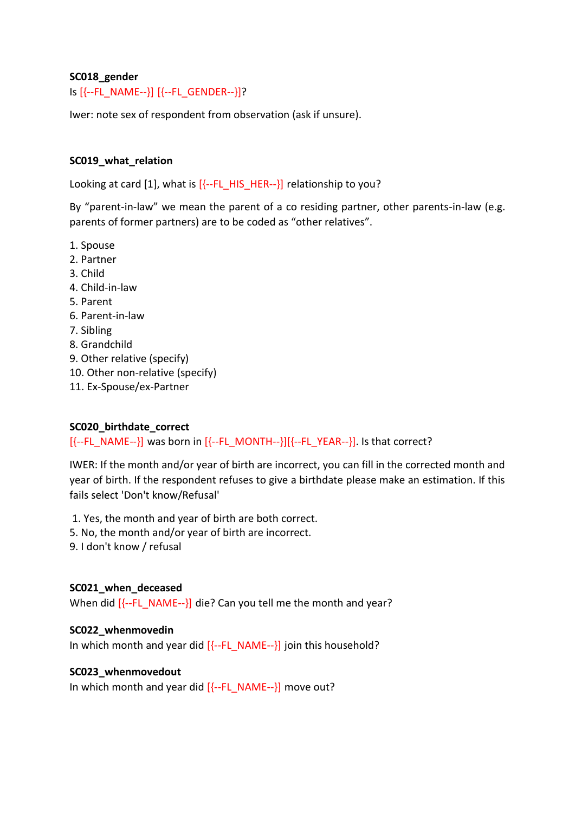# **SC018\_gender**

# Is [{--FL\_NAME--}] [{--FL\_GENDER--}]?

Iwer: note sex of respondent from observation (ask if unsure).

# **SC019\_what\_relation**

Looking at card [1], what is  $[{-FL HIS HER-}]}$  relationship to you?

By "parent-in-law" we mean the parent of a co residing partner, other parents-in-law (e.g. parents of former partners) are to be coded as "other relatives".

- 1. Spouse
- 2. Partner
- 3. Child
- 4. Child-in-law
- 5. Parent
- 6. Parent-in-law
- 7. Sibling
- 8. Grandchild
- 9. Other relative (specify)
- 10. Other non-relative (specify)
- 11. Ex-Spouse/ex-Partner

# **SC020\_birthdate\_correct**

 $[{-FL}$  NAME-- $}]$  was born in  $[{-FL}$  MONTH-- $]]{-FL}$  YEAR-- $]$ . Is that correct?

IWER: If the month and/or year of birth are incorrect, you can fill in the corrected month and year of birth. If the respondent refuses to give a birthdate please make an estimation. If this fails select 'Don't know/Refusal'

1. Yes, the month and year of birth are both correct.

- 5. No, the month and/or year of birth are incorrect.
- 9. I don't know / refusal

# **SC021\_when\_deceased**

When did [{--FL\_NAME--}] die? Can you tell me the month and year?

# **SC022\_whenmovedin**

In which month and year did  $[{-F}L NAME-}]$  join this household?

# **SC023\_whenmovedout**

In which month and year did  $[{-FL NAME-}]}$  move out?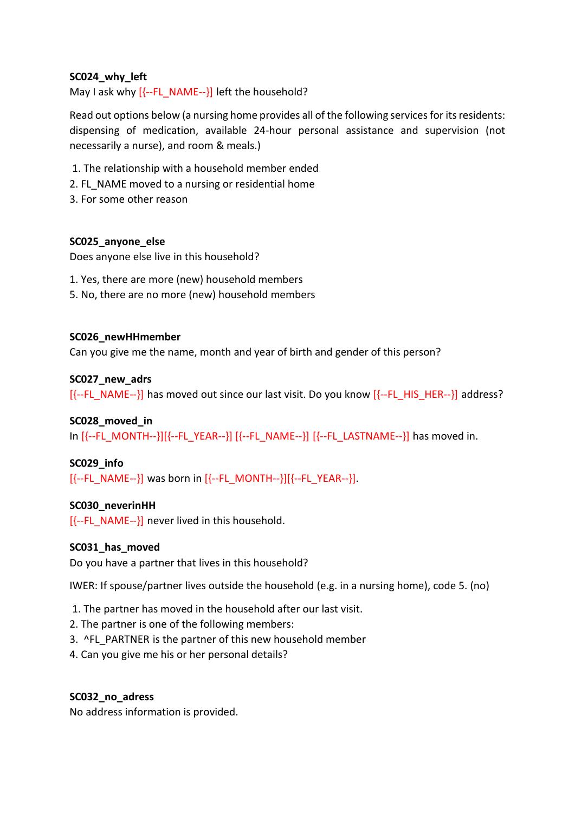# **SC024\_why\_left**

May I ask why  $[\{-FL \text{NAME}-\}]$  left the household?

Read out options below (a nursing home provides all of the following services for its residents: dispensing of medication, available 24-hour personal assistance and supervision (not necessarily a nurse), and room & meals.)

- 1. The relationship with a household member ended
- 2. FL\_NAME moved to a nursing or residential home
- 3. For some other reason

# **SC025\_anyone\_else**

Does anyone else live in this household?

- 1. Yes, there are more (new) household members
- 5. No, there are no more (new) household members

# **SC026\_newHHmember**

Can you give me the name, month and year of birth and gender of this person?

# **SC027\_new\_adrs**

[{--FL\_NAME--}] has moved out since our last visit. Do you know [{--FL\_HIS\_HER--}] address?

# **SC028\_moved\_in**

In [{--FL\_MONTH--}][{--FL\_YEAR--}] [{--FL\_NAME--}] [{--FL\_LASTNAME--}] has moved in.

# **SC029\_info**

 $[{--FL NAME-}\}$  was born in  $[{--FL NONTH-}\}][{-FL YEAR-}\]$ .

# **SC030\_neverinHH**

 $[$  -FL NAME-- $]$  never lived in this household.

# **SC031\_has\_moved**

Do you have a partner that lives in this household?

IWER: If spouse/partner lives outside the household (e.g. in a nursing home), code 5. (no)

- 1. The partner has moved in the household after our last visit.
- 2. The partner is one of the following members:
- 3. ^FL\_PARTNER is the partner of this new household member
- 4. Can you give me his or her personal details?

# **SC032\_no\_adress**

No address information is provided.